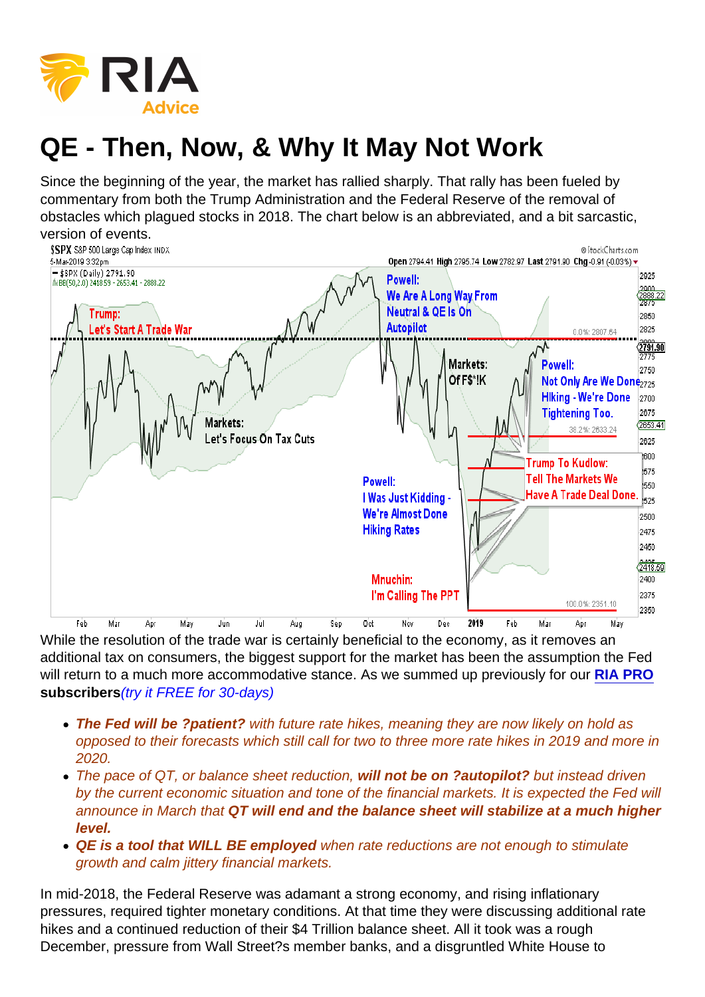## QE - Then, Now, & Why It May Not Work

Since the beginning of the year, the market has rallied sharply. That rally has been fueled by commentary from both the Trump Administration and the Federal Reserve of the removal of obstacles which plagued stocks in 2018. The chart below is an abbreviated, and a bit sarcastic, version of events.

While the resolution of the trade war is certainly beneficial to the economy, as it removes an additional tax on consumers, the biggest support for the market has been the assumption the Fed will return to a much more accommodative stance. As we summed up previously for our [RIA PRO](https://riapro.net) subscribers (try it FREE for 30-days)

- The Fed will be ?patient? with future rate hikes, meaning they are now likely on hold as opposed to their forecasts which still call for two to three more rate hikes in 2019 and more in 2020.
- The pace of QT, or balance sheet reduction, will not be on ?autopilot? but instead driven by the current economic situation and tone of the financial markets. It is expected the Fed will announce in March that QT will end and the balance sheet will stabilize at a much higher level.
- QE is a tool that WILL BE employed when rate reductions are not enough to stimulate growth and calm jittery financial markets.

In mid-2018, the Federal Reserve was adamant a strong economy, and rising inflationary pressures, required tighter monetary conditions. At that time they were discussing additional rate hikes and a continued reduction of their \$4 Trillion balance sheet. All it took was a rough December, pressure from Wall Street?s member banks, and a disgruntled White House to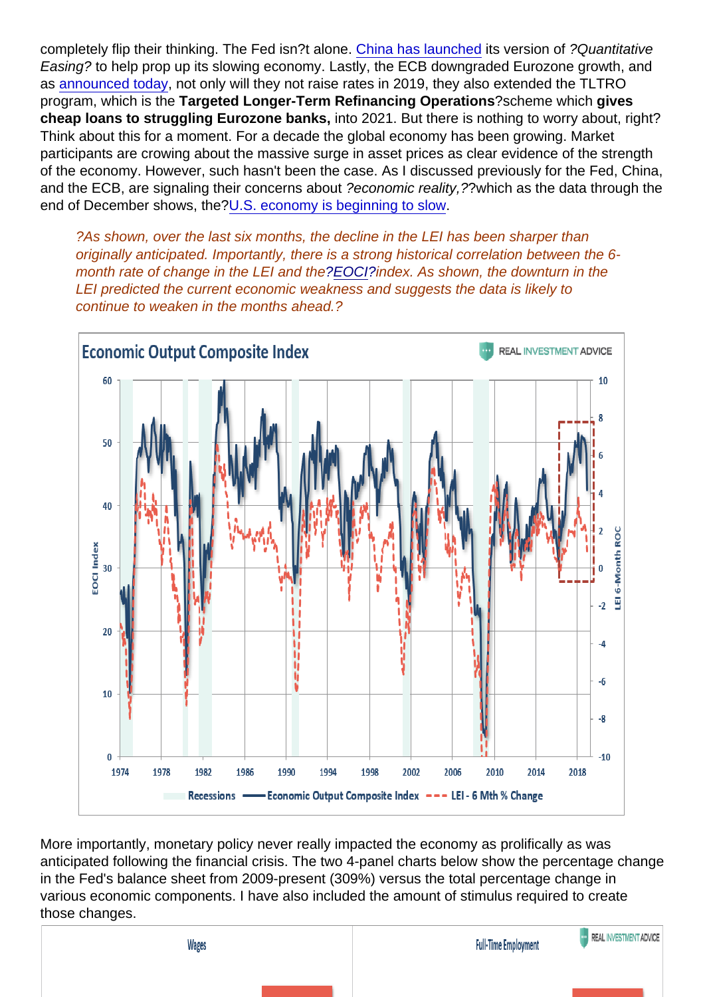completely flip their thinking. The Fed isn?t alone. [China has launched](https://www.reuters.com/article/us-china-economy-policy-factbox/factbox-china-rolls-out-fiscal-monetary-stimulus-to-spur-economy-idUSKCN1PJ1LK?feedType=RSS&feedName=businessNews&utm_source=feedburner&utm_medium=feed&utm_campaign=Feed:+reuters/businessNews+(Business+News)) its version of ?Quantitative Easing? to help prop up its slowing economy. Lastly, the ECB downgraded Eurozone growth, and as [announced today](https://www.zerohedge.com/news/2019-03-07/ecb-announces-new-tltro-changes-rate-guidance), not only will they not raise rates in 2019, they also extended the TLTRO program, which is the Targeted Longer-Term Refinancing Operations ?scheme which gives cheap loans to struggling Eurozone banks, into 2021. But there is nothing to worry about, right? Think about this for a moment. For a decade the global economy has been growing. Market participants are crowing about the massive surge in asset prices as clear evidence of the strength of the economy. However, such hasn't been the case. As I discussed previously for the Fed, China, and the ECB, are signaling their concerns about ?economic reality,??which as the data through the end of December shows, the[?U.S. economy is beginning to slow.](https://realinvestmentadvice.com/the-economy-is-slowing/)

?As shown, over the last six months, the decline in the LEI has been sharper than originally anticipated. Importantly, there is a strong historical correlation between the 6 month rate of change in the LEI and the[?EOCI?](https://realinvestmentadvice.com/the-economy-is-slowing/)index. As shown, the downturn in the LEI predicted the current economic weakness and suggests the data is likely to continue to weaken in the months ahead.?

More importantly, monetary policy never really impacted the economy as prolifically as was anticipated following the financial crisis. The two 4-panel charts below show the percentage change in the Fed's balance sheet from 2009-present (309%) versus the total percentage change in various economic components. I have also included the amount of stimulus required to create those changes.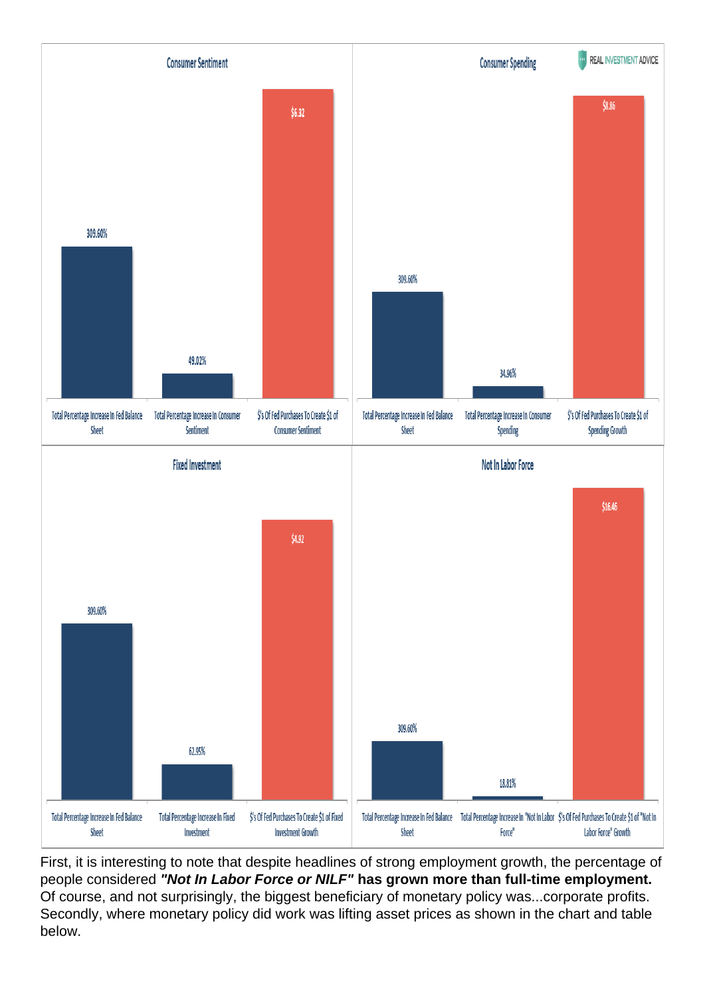First, it is interesting to note that despite headlines of strong employment growth, the percentage of people considered "Not In Labor Force or NILF" has grown more than full-time employment. Of course, and not surprisingly, the biggest beneficiary of monetary policy was...corporate profits. Secondly, where monetary policy did work was lifting asset prices as shown in the chart and table below.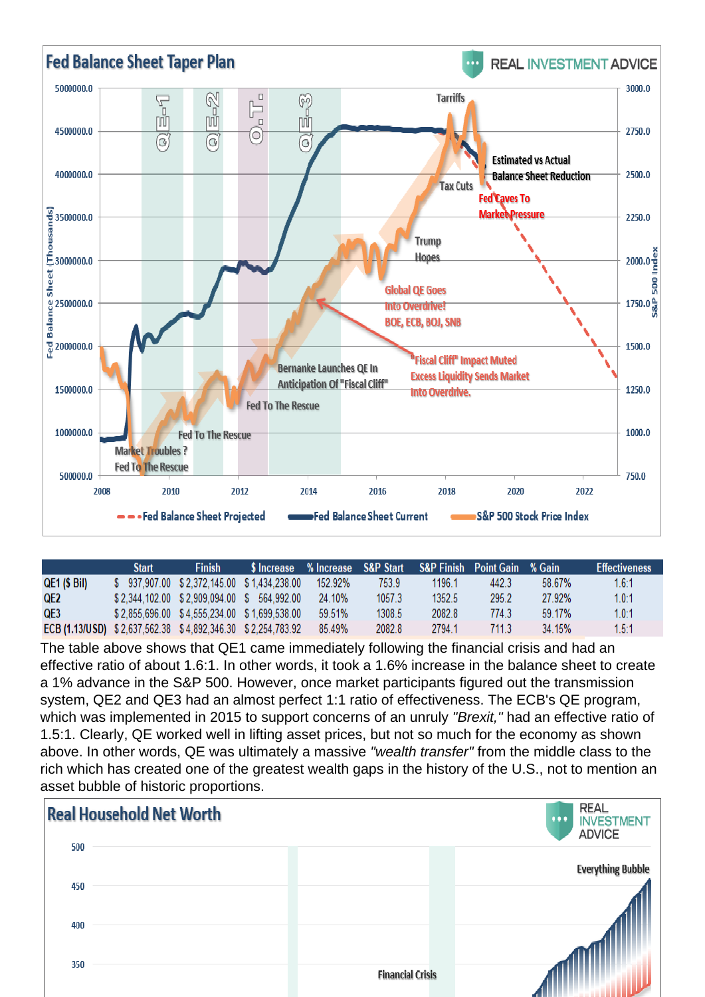The table above shows that QE1 came immediately following the financial crisis and had an effective ratio of about 1.6:1. In other words, it took a 1.6% increase in the balance sheet to create a 1% advance in the S&P 500. However, once market participants figured out the transmission system, QE2 and QE3 had an almost perfect 1:1 ratio of effectiveness. The ECB's QE program, which was implemented in 2015 to support concerns of an unruly "Brexit," had an effective ratio of 1.5:1. Clearly, QE worked well in lifting asset prices, but not so much for the economy as shown above. In other words, QE was ultimately a massive "wealth transfer" from the middle class to the rich which has created one of the greatest wealth gaps in the history of the U.S., not to mention an asset bubble of historic proportions.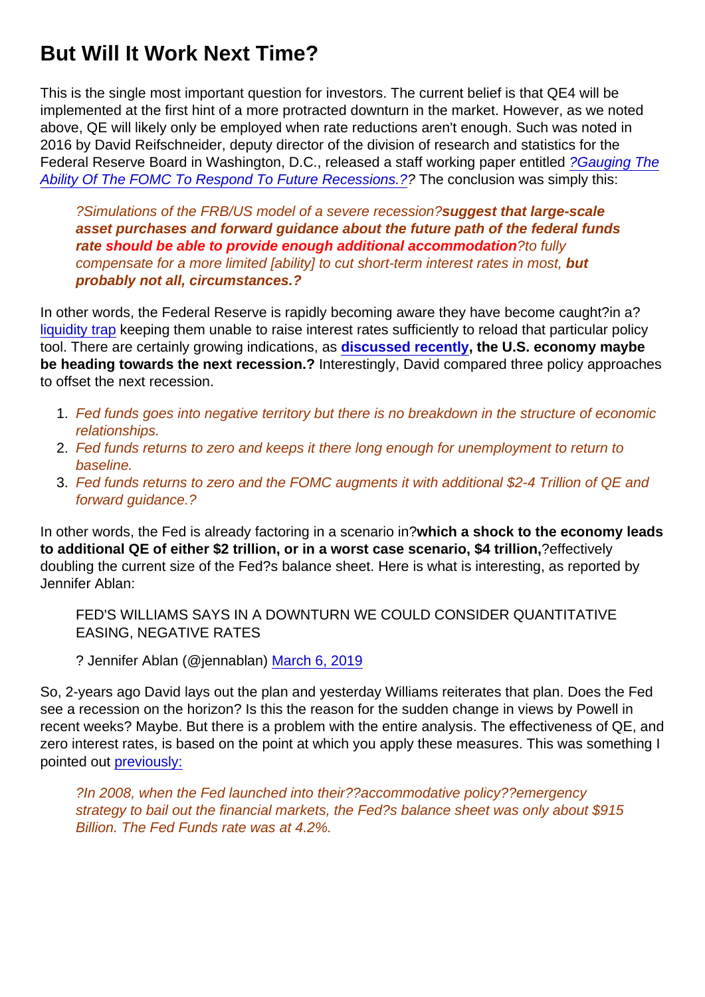## But Will It Work Next Time?

This is the single most important question for investors. The current belief is that QE4 will be implemented at the first hint of a more protracted downturn in the market. However, as we noted above, QE will likely only be employed when rate reductions aren't enough. Such was noted in 2016 by David Reifschneider, deputy director of the division of research and statistics for the Federal Reserve Board in Washington, D.C., released a staff working paper entitled [?Gauging The](http://www.federalreserve.gov/econresdata/feds/2016/files/2016068pap.pdf) [Ability Of The FOMC To Respond To Future Recessions.?](http://www.federalreserve.gov/econresdata/feds/2016/files/2016068pap.pdf)? The conclusion was simply this:

?Simulations of the FRB/US model of a severe recession?suggest that large-scale asset purchases and forward guidance about the future path of the federal funds rate should be able to provide enough additional accommodation ?to fully compensate for a more limited [ability] to cut short-term interest rates in most, but probably not all, circumstances.?

In other words, the Federal Reserve is rapidly becoming aware they have become caught?in a? [liquidity trap](https://realinvestmentadvice.com/the-fed-doesnt-target-the-market/) keeping them unable to raise interest rates sufficiently to reload that particular policy tool. There are certainly growing indications, as [discussed recently](https://realinvestmentadvice.com/3-things-the-economic-fabric-rising-recession-risks/) , the U.S. economy maybe be heading towards the next recession.? Interestingly, David compared three policy approaches to offset the next recession.

- 1. Fed funds goes into negative territory but there is no breakdown in the structure of economic relationships.
- 2. Fed funds returns to zero and keeps it there long enough for unemployment to return to baseline.
- 3. Fed funds returns to zero and the FOMC augments it with additional \$2-4 Trillion of QE and forward guidance.?

In other words, the Fed is already factoring in a scenario in?which a shock to the economy leads to additional QE of either \$2 trillion, or in a worst case scenario, \$4 trillion, <sup>?</sup>effectively doubling the current size of the Fed?s balance sheet. Here is what is interesting, as reported by Jennifer Ablan:

FED'S WILLIAMS SAYS IN A DOWNTURN WE COULD CONSIDER QUANTITATIVE EASING, NEGATIVE RATES

? Jennifer Ablan (@jennablan) [March 6, 2019](https://twitter.com/jennablan/status/1103351550842417153?ref_src=twsrc^tfw)

So, 2-years ago David lays out the plan and yesterday Williams reiterates that plan. Does the Fed see a recession on the horizon? Is this the reason for the sudden change in views by Powell in recent weeks? Maybe. But there is a problem with the entire analysis. The effectiveness of QE, and zero interest rates, is based on the point at which you apply these measures. This was something I pointed out [previously:](https://realinvestmentadvice.com/why-another-50-correction-is-possible/)

?In 2008, when the Fed launched into their??accommodative policy??emergency strategy to bail out the financial markets, the Fed?s balance sheet was only about \$915 Billion. The Fed Funds rate was at 4.2%.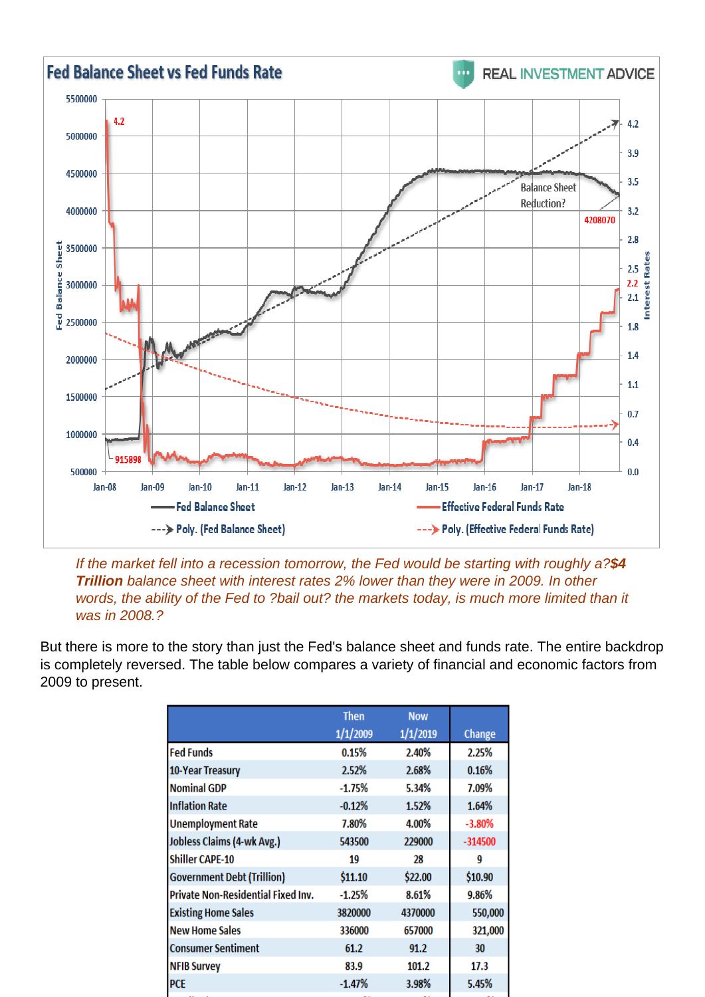If the market fell into a recession tomorrow, the Fed would be starting with roughly a?\$4 Trillion balance sheet with interest rates 2% lower than they were in 2009. In other words, the ability of the Fed to ?bail out? the markets today, is much more limited than it was in 2008.?

But there is more to the story than just the Fed's balance sheet and funds rate. The entire backdrop is completely reversed. The table below compares a variety of financial and economic factors from 2009 to present.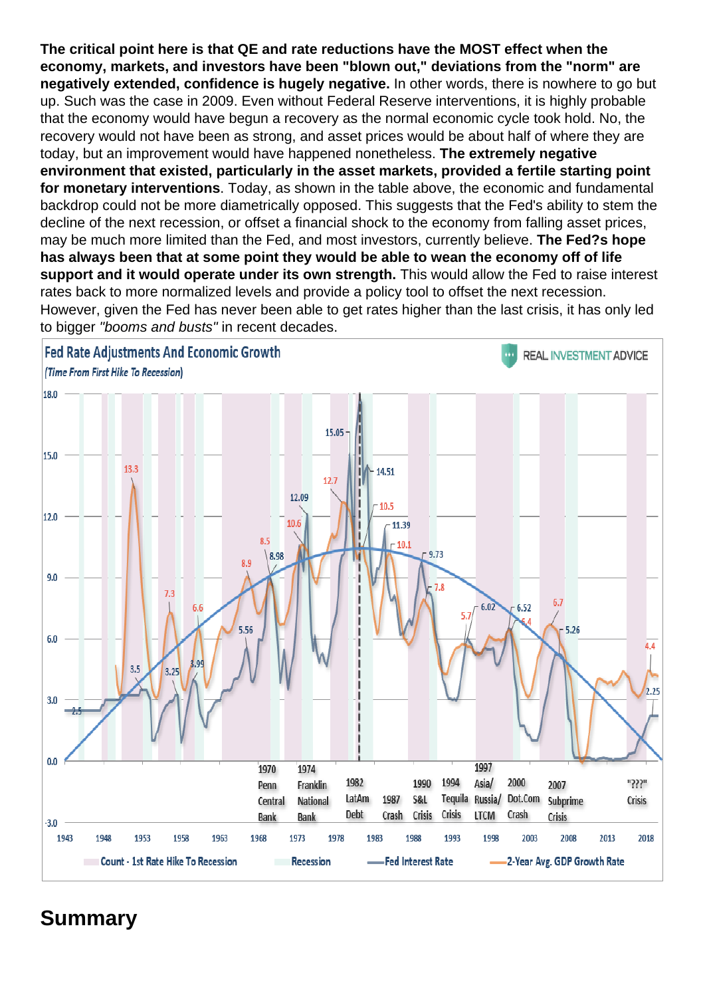The critical point here is that QE and rate reductions have the MOST effect when the economy, markets, and investors have been "blown out," deviations from the "norm" are negatively extended, confidence is hugely negative. In other words, there is nowhere to go but up. Such was the case in 2009. Even without Federal Reserve interventions, it is highly probable that the economy would have begun a recovery as the normal economic cycle took hold. No, the recovery would not have been as strong, and asset prices would be about half of where they are today, but an improvement would have happened nonetheless. The extremely negative environment that existed, particularly in the asset markets, provided a fertile starting point for monetary interventions . Today, as shown in the table above, the economic and fundamental backdrop could not be more diametrically opposed. This suggests that the Fed's ability to stem the decline of the next recession, or offset a financial shock to the economy from falling asset prices, may be much more limited than the Fed, and most investors, currently believe. The Fed?s hope has always been that at some point they would be able to wean the economy off of life support and it would operate under its own strength. This would allow the Fed to raise interest rates back to more normalized levels and provide a policy tool to offset the next recession. However, given the Fed has never been able to get rates higher than the last crisis, it has only led to bigger "booms and busts" in recent decades.